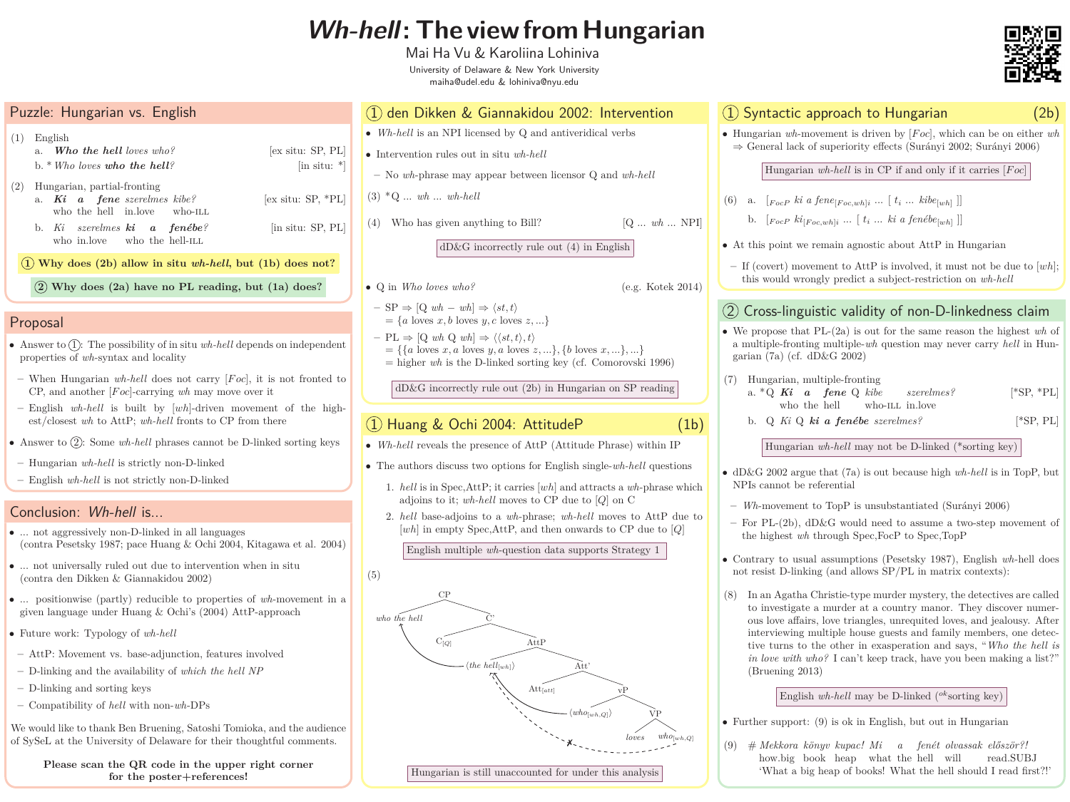# **Wh-hell: The view from Hungarian**

Mai Ha Vu & Karoliina Lohiniva University of Delaware & New York University maiha@udel.edu & lohiniva@nyu.edu

- a. *Who the hell loves who?* [ex situ: SP, PL] b. \**Who loves who the hell?* [in situ: \*]
- $E$  situ: SP, \*PL]
- $n$  situ: SP, PL]

 $\bf{does not?}$ 

| Puzzle: Hungarian vs. English                                                                      |                            |
|----------------------------------------------------------------------------------------------------|----------------------------|
| English<br>(1)<br>a. <b>Who the hell</b> loves who?<br>b. $*$ Who loves who the hell?              | ex                         |
| Hungarian, partial-fronting<br>(2)<br>a. Ki a fene szerelmes kibe?<br>who the hell in.love who-ILL | ex                         |
| b. Ki szerelmes $ki$ a fenébe?<br>who in.love who the hell-ILL                                     | $\left[ \text{in} \right]$ |
| $(1)$ Why does $(2b)$ allow in situ wh-hell, but $(1b)$                                            |                            |

- Answer to  $(1)$ : The possibility of in situ *wh-hell* depends on independent properties of *wh*-syntax and locality
- **–** When Hungarian *wh-hell* does not carry [*F oc*], it is not fronted to CP, and another [*F oc*]-carrying *wh* may move over it
- **–** English *wh-hell* is built by [*wh*]-driven movement of the highest/closest *wh* to AttP; *wh-hell* fronts to CP from there
- Answer to (2): Some *wh-hell* phrases cannot be D-linked sorting keys
- **–** Hungarian *wh-hell* is strictly non-D-linked
- **–** English *wh-hell* is not strictly non-D-linked

**2 Why does (2a) have no PL reading, but (1a) does?**

- *Wh-hell* is an NPI licensed by Q and antiveridical verbs
- Intervention rules out in situ *wh-hell*
- **–** No *wh*-phrase may appear between licensor Q and *wh-hell*
- (3) \*Q ... *wh* ... *wh-hell*
- Who has given anything to Bill?  $[Q \dots wh \dots NPI]$

### Proposal

- Q in *Who loves who?* (e.g. Kotek 2014)
- $-$  SP  $\Rightarrow$  [Q *wh wh*]  $\Rightarrow$   $\langle st, t \rangle$  $=\{a \text{ loves } x, b \text{ loves } y, c \text{ loves } z, ...\}$
- $-$  PL  $\Rightarrow$  [Q *wh* Q *wh*]  $\Rightarrow \langle \langle st, t \rangle, t \rangle$  $= \{ \{a \text{ loves } x, a \text{ loves } y, a \text{ loves } z, ...\}, \{b \text{ loves } x, ...\}, ...\}$  $=$  higher *wh* is the D-linked sorting key (cf. Comorovski 1996)

- *Wh-hell* reveals the presence of AttP (Attitude Phrase) within IP
- The authors discuss two options for English single-*wh-hell* questions
	- 1. *hell* is in Spec,AttP; it carries [*wh*] and attracts a *wh*-phrase which adjoins to it; *wh-hell* moves to CP due to [*Q*] on C
	- 2. *hell* base-adjoins to a *wh*-phrase; *wh-hell* moves to AttP due to [*wh*] in empty Spec,AttP, and then onwards to CP due to [*Q*]

## 1 den Dikken & Giannakidou 2002: Intervention

dD&G incorrectly rule out (4) in English

a. \*Q *Ki* a fene Q kibe szerelmes? [\*SP, \*PL] who-ILL in.love *szerelmes?*

dD&G incorrectly rule out (2b) in Hungarian on SP reading

# $1)$  Huang & Ochi 2004: AttitudeP  $(1b)$

English multiple *wh*-question data supports Strategy 1

(5)



# 1 Syntactic approach to Hungarian (2b)

• Hungarian *wh*-movement is driven by [*F oc*], which can be on either *wh* ⇒ General lack of superiority effects (Surányi 2002; Surányi 2006)

(6) a.  $[F_{ocP}$  *ki a fene* $[F_{oc,wh}]$ *i* ...  $[t_i$  ...  $kibe_{[wh]}$ ] b.  $[F_{ocP}$   $ki_{[Foc,wh]i}$  ...  $[t_i$  ...  $ki$  a  $fen\acute{e}be_{[wh]}$  ]]

• At this point we remain agnostic about AttP in Hungarian

Hungarian *wh-hell* is in CP if and only if it carries [*F oc*]

- 
- -

# (2) Cross-linguistic validity of non-D-linkedness claim

We would like to thank Ben Bruening, Satoshi Tomioka, and the audience of SySeL at the University of Delaware for their thoughtful comments.

**–** If (covert) movement to AttP is involved, it must not be due to [*wh*]; this would wrongly predict a subject-restriction on *wh-hell*

• We propose that PL-(2a) is out for the same reason the highest *wh* of a multiple-fronting multiple-*wh* question may never carry *hell* in Hun-

- garian (7a) (cf. dD&G 2002)
- (7) Hungarian, multiple-fronting who the hell
	- b. [\*SP, PL]Q *Ki* Q *ki a fenébe szerelmes?*

Hungarian *wh-hell* may not be D-linked (\*sorting key)

• dD&G 2002 argue that (7a) is out because high *wh-hell* is in TopP, but

**–** *Wh*-movement to TopP is unsubstantiated (Surányi 2006)

**–** For PL-(2b), dD&G would need to assume a two-step movement of the highest *wh* through Spec,FocP to Spec,TopP

• Contrary to usual assumptions (Pesetsky 1987), English *wh*-hell does not resist D-linking (and allows SP/PL in matrix contexts):

- NPIs cannot be referential
- 
- 
- 
- (Bruening 2013)

(8) In an Agatha Christie-type murder mystery, the detectives are called to investigate a murder at a country manor. They discover numerous love affairs, love triangles, unrequited loves, and jealousy. After interviewing multiple house guests and family members, one detective turns to the other in exasperation and says, "*Who the hell is in love with who?* I can't keep track, have you been making a list?"

English *wh-hell* may be D-linked ( *ok* sorting key)

• Further support: (9) is ok in English, but out in Hungarian

(9) # *Mekkora könyv kupac! Mi a fenét olvassak először?!* how.big book heap what the hell will read.SUBJ 'What a big heap of books! What the hell should I read first?!'



### Conclusion: Wh-hell is...

- ... not aggressively non-D-linked in all languages (contra Pesetsky 1987; pace Huang & Ochi 2004, Kitagawa et al. 2004)
- ... not universally ruled out due to intervention when in situ (contra den Dikken & Giannakidou 2002)
- ... positionwise (partly) reducible to properties of *wh*-movement in a given language under Huang & Ochi's (2004) AttP-approach
- Future work: Typology of *wh-hell*
- **–** AttP: Movement vs. base-adjunction, features involved
- **–** D-linking and the availability of *which the hell NP*
- **–** D-linking and sorting keys
- **–** Compatibility of *hell* with non-*wh*-DPs

**Please scan the QR code in the upper right corner for the poster+references!**